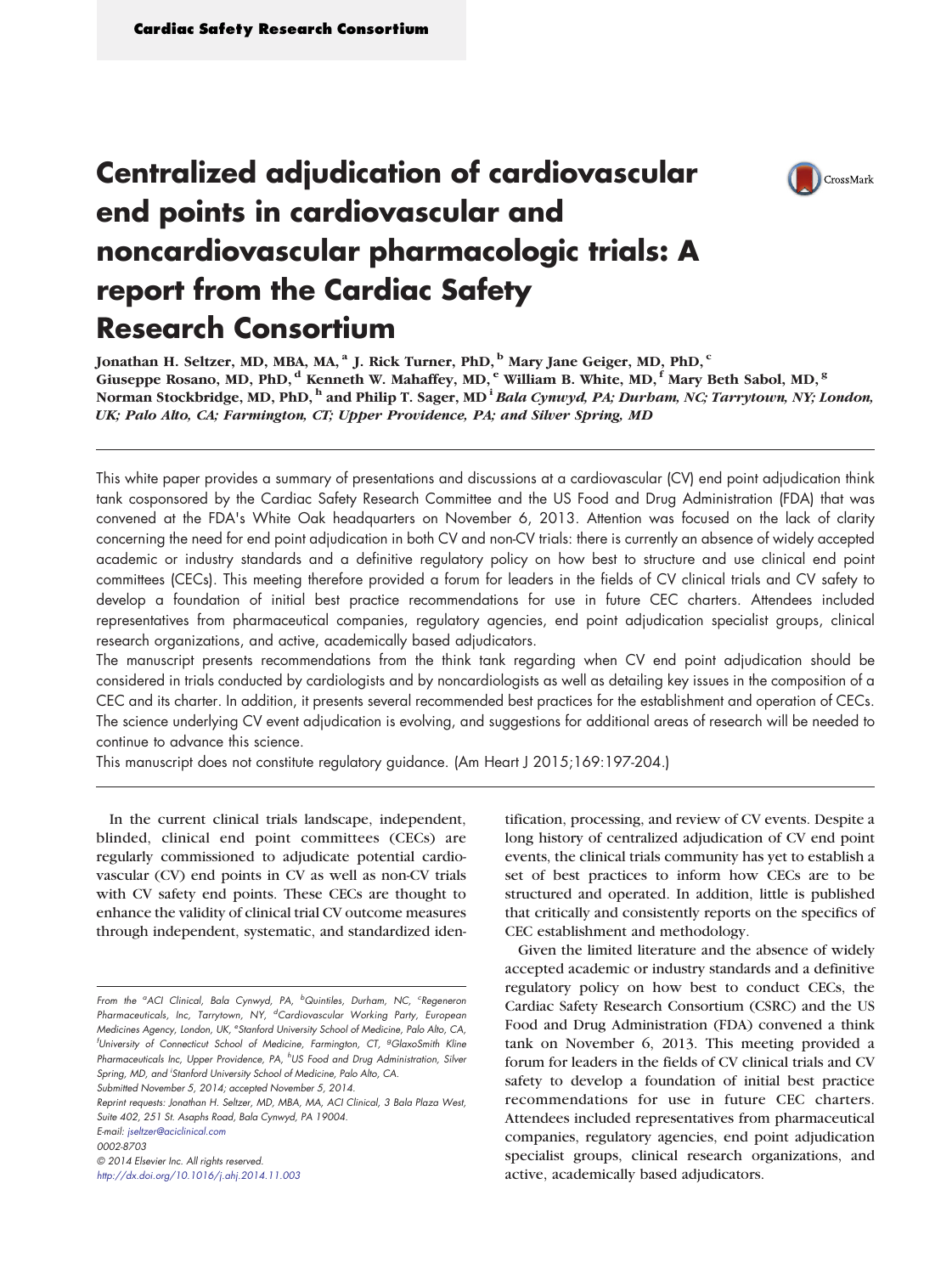

# Centralized adjudication of cardiovascular end points in cardiovascular and noncardiovascular pharmacologic trials: A report from the Cardiac Safety Research Consortium

Jonathan H. Seltzer, MD, MBA, MA, <sup>a</sup> J. Rick Turner, PhD, <sup>b</sup> Mary Jane Geiger, MD, PhD, <sup>c</sup> Giuseppe Rosano, MD, PhD,  $^d$  Kenneth W. Mahaffey, MD,  $^e$  William B. White, MD,  $^f$  Mary Beth Sabol, MD,  $^g$ Norman Stockbridge, MD, PhD, h and Philip T. Sager, MD <sup>i</sup> Bala Cynwyd, PA; Durham, NC; Tarrytown, NY; London, UK; Palo Alto, CA; Farmington, CT; Upper Providence, PA; and Silver Spring, MD

This white paper provides a summary of presentations and discussions at a cardiovascular (CV) end point adjudication think tank cosponsored by the Cardiac Safety Research Committee and the US Food and Drug Administration (FDA) that was convened at the FDA's White Oak headquarters on November 6, 2013. Attention was focused on the lack of clarity concerning the need for end point adjudication in both CV and non-CV trials: there is currently an absence of widely accepted academic or industry standards and a definitive regulatory policy on how best to structure and use clinical end point committees (CECs). This meeting therefore provided a forum for leaders in the fields of CV clinical trials and CV safety to develop a foundation of initial best practice recommendations for use in future CEC charters. Attendees included representatives from pharmaceutical companies, regulatory agencies, end point adjudication specialist groups, clinical research organizations, and active, academically based adjudicators.

The manuscript presents recommendations from the think tank regarding when CV end point adjudication should be considered in trials conducted by cardiologists and by noncardiologists as well as detailing key issues in the composition of a CEC and its charter. In addition, it presents several recommended best practices for the establishment and operation of CECs. The science underlying CV event adjudication is evolving, and suggestions for additional areas of research will be needed to continue to advance this science.

This manuscript does not constitute regulatory guidance. (Am Heart J 2015;169:197-204.)

In the current clinical trials landscape, independent, blinded, clinical end point committees (CECs) are regularly commissioned to adjudicate potential cardiovascular (CV) end points in CV as well as non-CV trials with CV safety end points. These CECs are thought to enhance the validity of clinical trial CV outcome measures through independent, systematic, and standardized iden-

Submitted November 5, 2014; accepted November 5, 2014.

Reprint requests: Jonathan H. Seltzer, MD, MBA, MA, ACI Clinical, 3 Bala Plaza West, Suite 402, 251 St. Asaphs Road, Bala Cynwyd, PA 19004. E-mail: [jseltzer@aciclinical.com](mailto:jseltzer@aciclinical.com)

0002-8703

© 2014 Elsevier Inc. All rights reserved.

<http://dx.doi.org/10.1016/j.ahj.2014.11.003>

tification, processing, and review of CV events. Despite a long history of centralized adjudication of CV end point events, the clinical trials community has yet to establish a set of best practices to inform how CECs are to be structured and operated. In addition, little is published that critically and consistently reports on the specifics of CEC establishment and methodology.

Given the limited literature and the absence of widely accepted academic or industry standards and a definitive regulatory policy on how best to conduct CECs, the Cardiac Safety Research Consortium (CSRC) and the US Food and Drug Administration (FDA) convened a think tank on November 6, 2013. This meeting provided a forum for leaders in the fields of CV clinical trials and CV safety to develop a foundation of initial best practice recommendations for use in future CEC charters. Attendees included representatives from pharmaceutical companies, regulatory agencies, end point adjudication specialist groups, clinical research organizations, and active, academically based adjudicators.

From the <sup>a</sup>ACI Clinical, Bala Cynwyd, PA, <sup>b</sup>Quintiles, Durham, NC, <sup>c</sup>Regeneron Pharmaceuticals, Inc, Tarrytown, NY, <sup>d</sup>Cardiovascular Working Party, European Medicines Agency, London, UK, <sup>e</sup>Stanford University School of Medicine, Palo Alto, CA, <sup>f</sup>University of Connecticut School of Medicine, Farmington, CT, <sup>g</sup>GlaxoSmith Kline Pharmaceuticals Inc, Upper Providence, PA, <sup>h</sup>US Food and Drug Administration, Silver Spring, MD, and 'Stanford University School of Medicine, Palo Alto, CA.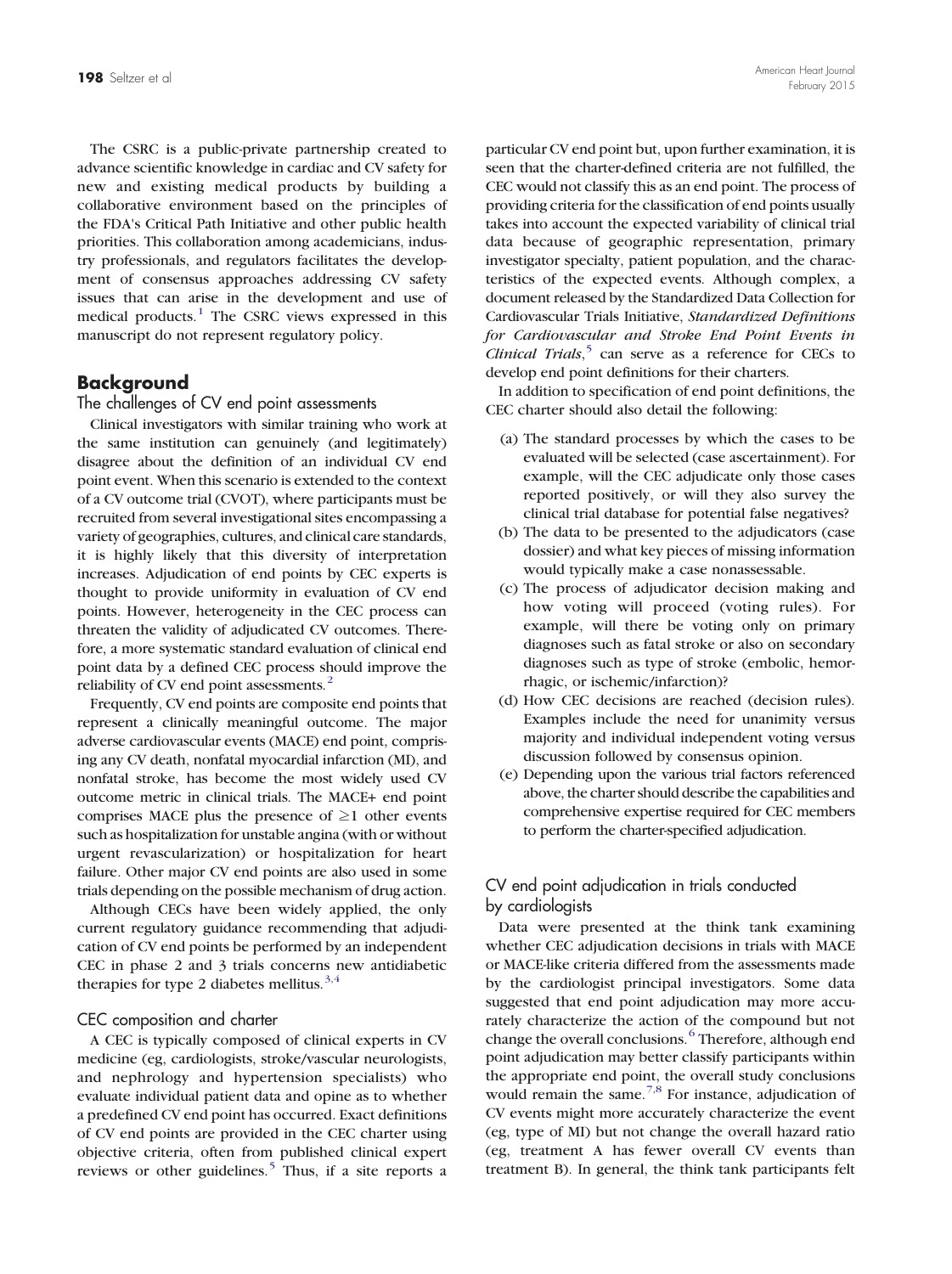The CSRC is a public-private partnership created to advance scientific knowledge in cardiac and CV safety for new and existing medical products by building a collaborative environment based on the principles of the FDA's Critical Path Initiative and other public health priorities. This collaboration among academicians, industry professionals, and regulators facilitates the development of consensus approaches addressing CV safety issues that can arise in the development and use of medical products[.](#page-6-0)<sup>[1](#page-6-0)</sup> The CSRC views expressed in this manuscript do not represent regulatory policy.

#### Background

#### The challenges of CV end point assessments

Clinical investigators with similar training who work at the same institution can genuinely (and legitimately) disagree about the definition of an individual CV end point event. When this scenario is extended to the context of a CV outcome trial (CVOT), where participants must be recruited from several investigational sites encompassing a variety of geographies, cultures, and clinical care standards, it is highly likely that this diversity of interpretation increases. Adjudication of end points by CEC experts is thought to provide uniformity in evaluation of CV end points. However, heterogeneity in the CEC process can threaten the validity of adjudicated CV outcomes. Therefore, a more systematic standard evaluation of clinical end point data by a defined CEC process should improve the reliability of CV end point assessments.<sup>[2](#page-6-0)</sup>

Frequently, CV end points are composite end points that represent a clinically meaningful outcome. The major adverse cardiovascular events (MACE) end point, comprising any CV death, nonfatal myocardial infarction (MI), and nonfatal stroke, has become the most widely used CV outcome metric in clinical trials. The MACE+ end point comprises MACE plus the presence of  $\geq 1$  other events such as hospitalization for unstable angina (with or without urgent revascularization) or hospitalization for heart failure. Other major CV end points are also used in some trials depending on the possible mechanism of drug action.

Although CECs have been widely applied, the only current regulatory guidance recommending that adjudication of CV end points be performed by an independent CEC in phase 2 and 3 trials concerns new antidiabetic therapies for type 2 diabetes mellitus[.](#page-6-0)<sup>[3,4](#page-6-0)</sup>

#### CEC composition and charter

A CEC is typically composed of clinical experts in CV medicine (eg, cardiologists, stroke/vascular neurologists, and nephrology and hypertension specialists) who evaluate individual patient data and opine as to whether a predefined CV end point has occurred. Exact definitions of CV end points are provided in the CEC charter using objective criteria, often from published clinical expert reviews or other guidelines[.](#page-6-0)<sup>[5](#page-6-0)</sup> Thus, if a site reports a

particular CV end point but, upon further examination, it is seen that the charter-defined criteria are not fulfilled, the CEC would not classify this as an end point. The process of providing criteria for the classification of end points usually takes into account the expected variability of clinical trial data because of geographic representation, primary investigator specialty, patient population, and the characteristics of the expected events. Although complex, a document released by the Standardized Data Collection for Cardiovascular Trials Initiative, Standardized Definitions for Cardiovascular and Stroke End Point Events in Clinical Trials[,](#page-6-0)<sup>[5](#page-6-0)</sup> can serve as a reference for CECs to develop end point definitions for their charters.

In addition to specification of end point definitions, the CEC charter should also detail the following:

- (a) The standard processes by which the cases to be evaluated will be selected (case ascertainment). For example, will the CEC adjudicate only those cases reported positively, or will they also survey the clinical trial database for potential false negatives?
- (b) The data to be presented to the adjudicators (case dossier) and what key pieces of missing information would typically make a case nonassessable.
- (c) The process of adjudicator decision making and how voting will proceed (voting rules). For example, will there be voting only on primary diagnoses such as fatal stroke or also on secondary diagnoses such as type of stroke (embolic, hemorrhagic, or ischemic/infarction)?
- (d) How CEC decisions are reached (decision rules). Examples include the need for unanimity versus majority and individual independent voting versus discussion followed by consensus opinion.
- (e) Depending upon the various trial factors referenced above, the charter should describe the capabilities and comprehensive expertise required for CEC members to perform the charter-specified adjudication.

#### CV end point adjudication in trials conducted by cardiologists

Data were presented at the think tank examining whether CEC adjudication decisions in trials with MACE or MACE-like criteria differed from the assessments made by the cardiologist principal investigators. Some data suggested that end point adjudication may more accurately characterize the action of the compound but not change the overall conclusions[.](#page-6-0)<sup>[6](#page-6-0)</sup> Therefore, although end point adjudication may better classify participants within the appropriate end point, the overall study conclusions would remain the same[.](#page-7-0)<sup>[7,8](#page-7-0)</sup> For instance, adjudication of CV events might more accurately characterize the event (eg, type of MI) but not change the overall hazard ratio (eg, treatment A has fewer overall CV events than treatment B). In general, the think tank participants felt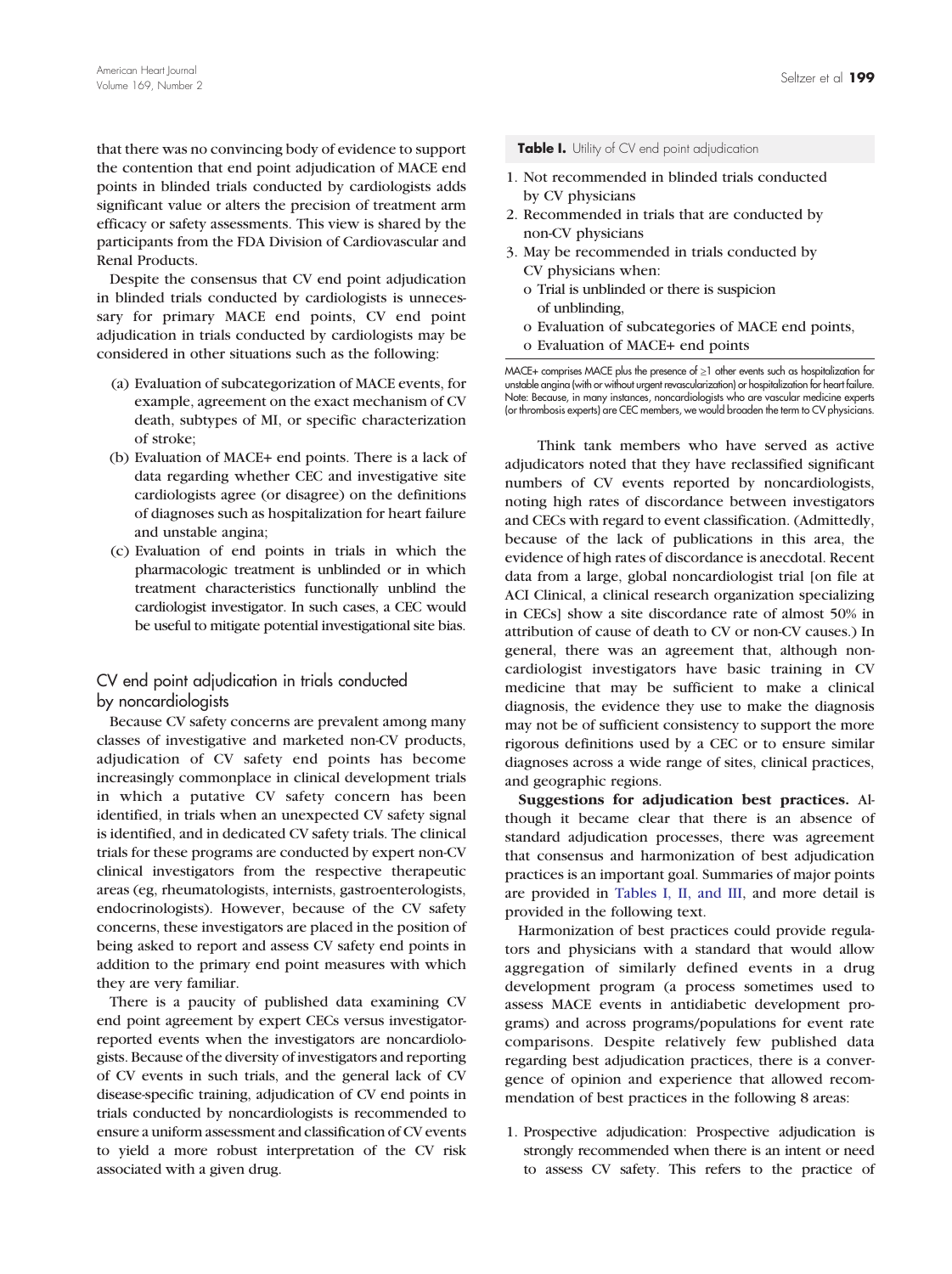that there was no convincing body of evidence to support the contention that end point adjudication of MACE end points in blinded trials conducted by cardiologists adds significant value or alters the precision of treatment arm efficacy or safety assessments. This view is shared by the participants from the FDA Division of Cardiovascular and Renal Products.

Despite the consensus that CV end point adjudication in blinded trials conducted by cardiologists is unnecessary for primary MACE end points, CV end point adjudication in trials conducted by cardiologists may be considered in other situations such as the following:

- (a) Evaluation of subcategorization of MACE events, for example, agreement on the exact mechanism of CV death, subtypes of MI, or specific characterization of stroke;
- (b) Evaluation of MACE+ end points. There is a lack of data regarding whether CEC and investigative site cardiologists agree (or disagree) on the definitions of diagnoses such as hospitalization for heart failure and unstable angina;
- (c) Evaluation of end points in trials in which the pharmacologic treatment is unblinded or in which treatment characteristics functionally unblind the cardiologist investigator. In such cases, a CEC would be useful to mitigate potential investigational site bias.

# CV end point adjudication in trials conducted by noncardiologists

Because CV safety concerns are prevalent among many classes of investigative and marketed non-CV products, adjudication of CV safety end points has become increasingly commonplace in clinical development trials in which a putative CV safety concern has been identified, in trials when an unexpected CV safety signal is identified, and in dedicated CV safety trials. The clinical trials for these programs are conducted by expert non-CV clinical investigators from the respective therapeutic areas (eg, rheumatologists, internists, gastroenterologists, endocrinologists). However, because of the CV safety concerns, these investigators are placed in the position of being asked to report and assess CV safety end points in addition to the primary end point measures with which they are very familiar.

There is a paucity of published data examining CV end point agreement by expert CECs versus investigatorreported events when the investigators are noncardiologists. Because of the diversity of investigators and reporting of CV events in such trials, and the general lack of CV disease-specific training, adjudication of CV end points in trials conducted by noncardiologists is recommended to ensure a uniform assessment and classification of CV events to yield a more robust interpretation of the CV risk associated with a given drug.

#### Table I. Utility of CV end point adjudication

- 1. Not recommended in blinded trials conducted by CV physicians
- 2. Recommended in trials that are conducted by non-CV physicians
- 3. May be recommended in trials conducted by CV physicians when:
	- o Trial is unblinded or there is suspicion of unblinding,
	- o Evaluation of subcategories of MACE end points,
	- o Evaluation of MACE+ end points

MACE+ comprises MACE plus the presence of ≥1 other events such as hospitalization for unstable angina (with or without urgent revascularization) or hospitalization for heart failure. Note: Because, in many instances, noncardiologists who are vascular medicine experts (or thrombosis experts) are CEC members, we would broaden the term to CV physicians.

Think tank members who have served as active adjudicators noted that they have reclassified significant numbers of CV events reported by noncardiologists, noting high rates of discordance between investigators and CECs with regard to event classification. (Admittedly, because of the lack of publications in this area, the evidence of high rates of discordance is anecdotal. Recent data from a large, global noncardiologist trial [on file at ACI Clinical, a clinical research organization specializing in CECs] show a site discordance rate of almost 50% in attribution of cause of death to CV or non-CV causes.) In general, there was an agreement that, although noncardiologist investigators have basic training in CV medicine that may be sufficient to make a clinical diagnosis, the evidence they use to make the diagnosis may not be of sufficient consistency to support the more rigorous definitions used by a CEC or to ensure similar diagnoses across a wide range of sites, clinical practices, and geographic regions.

Suggestions for adjudication best practices. Although it became clear that there is an absence of standard adjudication processes, there was agreement that consensus and harmonization of best adjudication practices is an important goal. Summaries of major points are provided in Tables I, II, and III, and more detail is provided in the following text.

Harmonization of best practices could provide regulators and physicians with a standard that would allow aggregation of similarly defined events in a drug development program (a process sometimes used to assess MACE events in antidiabetic development programs) and across programs/populations for event rate comparisons. Despite relatively few published data regarding best adjudication practices, there is a convergence of opinion and experience that allowed recommendation of best practices in the following 8 areas:

1. Prospective adjudication: Prospective adjudication is strongly recommended when there is an intent or need to assess CV safety. This refers to the practice of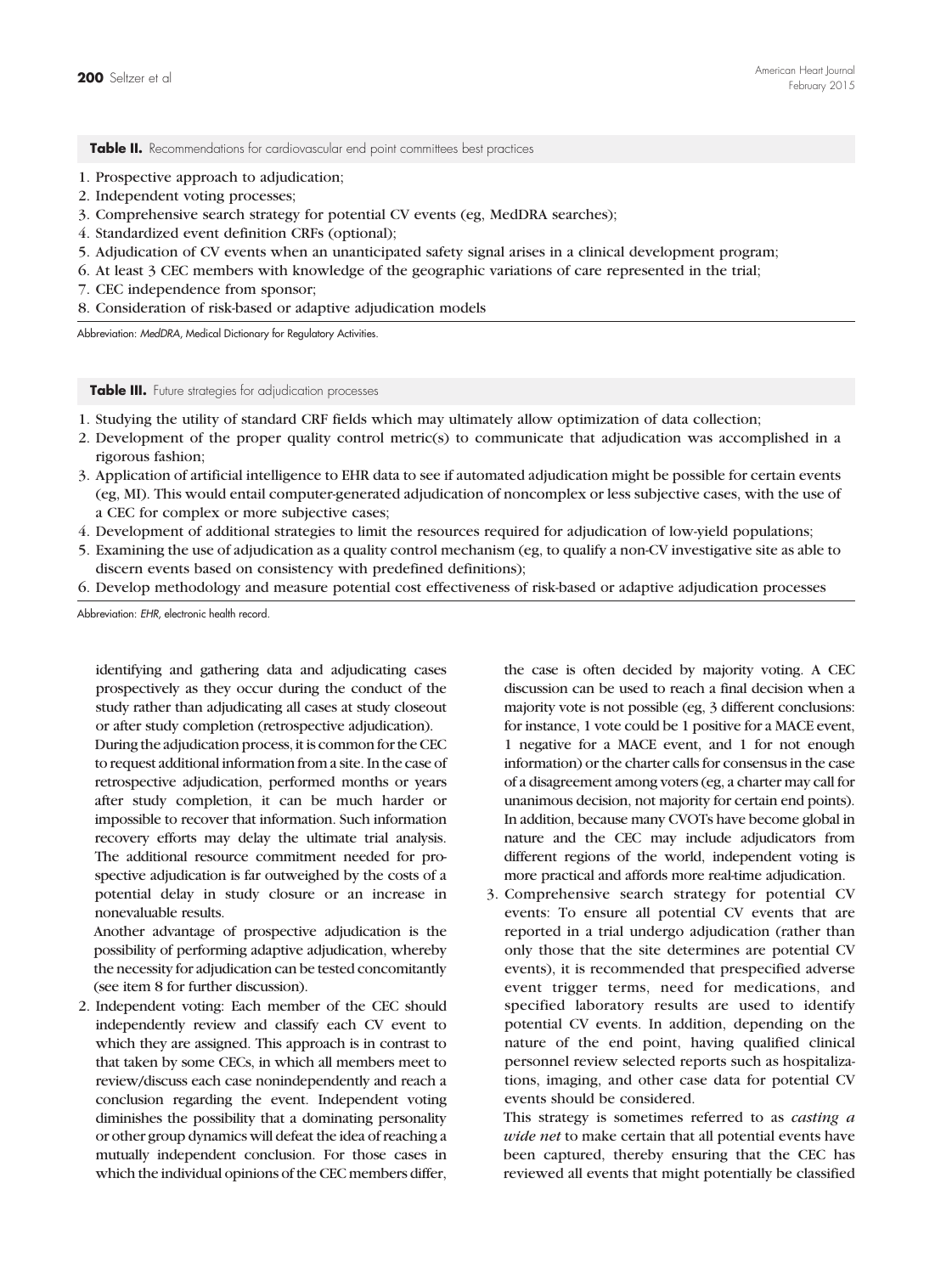Table II. Recommendations for cardiovascular end point committees best practices

- 1. Prospective approach to adjudication;
- 2. Independent voting processes;
- 3. Comprehensive search strategy for potential CV events (eg, MedDRA searches);
- 4. Standardized event definition CRFs (optional);
- 5. Adjudication of CV events when an unanticipated safety signal arises in a clinical development program;
- 6. At least 3 CEC members with knowledge of the geographic variations of care represented in the trial;
- 7. CEC independence from sponsor;
- 8. Consideration of risk-based or adaptive adjudication models

Abbreviation: MedDRA, Medical Dictionary for Regulatory Activities.

Table III. Future strategies for adjudication processes

- 1. Studying the utility of standard CRF fields which may ultimately allow optimization of data collection;
- 2. Development of the proper quality control metric(s) to communicate that adjudication was accomplished in a rigorous fashion;
- 3. Application of artificial intelligence to EHR data to see if automated adjudication might be possible for certain events (eg, MI). This would entail computer-generated adjudication of noncomplex or less subjective cases, with the use of a CEC for complex or more subjective cases;
- 4. Development of additional strategies to limit the resources required for adjudication of low-yield populations;
- 5. Examining the use of adjudication as a quality control mechanism (eg, to qualify a non-CV investigative site as able to discern events based on consistency with predefined definitions);
- 6. Develop methodology and measure potential cost effectiveness of risk-based or adaptive adjudication processes

Abbreviation: EHR, electronic health record.

identifying and gathering data and adjudicating cases prospectively as they occur during the conduct of the study rather than adjudicating all cases at study closeout or after study completion (retrospective adjudication).

During the adjudication process, it is common for the CEC to request additional information from a site. In the case of retrospective adjudication, performed months or years after study completion, it can be much harder or impossible to recover that information. Such information recovery efforts may delay the ultimate trial analysis. The additional resource commitment needed for prospective adjudication is far outweighed by the costs of a potential delay in study closure or an increase in nonevaluable results.

Another advantage of prospective adjudication is the possibility of performing adaptive adjudication, whereby the necessity for adjudication can be tested concomitantly (see item 8 for further discussion).

2. Independent voting: Each member of the CEC should independently review and classify each CV event to which they are assigned. This approach is in contrast to that taken by some CECs, in which all members meet to review/discuss each case nonindependently and reach a conclusion regarding the event. Independent voting diminishes the possibility that a dominating personality or other group dynamics will defeat the idea of reaching a mutually independent conclusion. For those cases in which the individual opinions of the CEC members differ, the case is often decided by majority voting. A CEC discussion can be used to reach a final decision when a majority vote is not possible (eg, 3 different conclusions: for instance, 1 vote could be 1 positive for a MACE event, 1 negative for a MACE event, and 1 for not enough information) or the charter calls for consensus in the case of a disagreement among voters (eg, a charter may call for unanimous decision, not majority for certain end points). In addition, because many CVOTs have become global in nature and the CEC may include adjudicators from different regions of the world, independent voting is more practical and affords more real-time adjudication.

3. Comprehensive search strategy for potential CV events: To ensure all potential CV events that are reported in a trial undergo adjudication (rather than only those that the site determines are potential CV events), it is recommended that prespecified adverse event trigger terms, need for medications, and specified laboratory results are used to identify potential CV events. In addition, depending on the nature of the end point, having qualified clinical personnel review selected reports such as hospitalizations, imaging, and other case data for potential CV events should be considered.

This strategy is sometimes referred to as *casting a* wide net to make certain that all potential events have been captured, thereby ensuring that the CEC has reviewed all events that might potentially be classified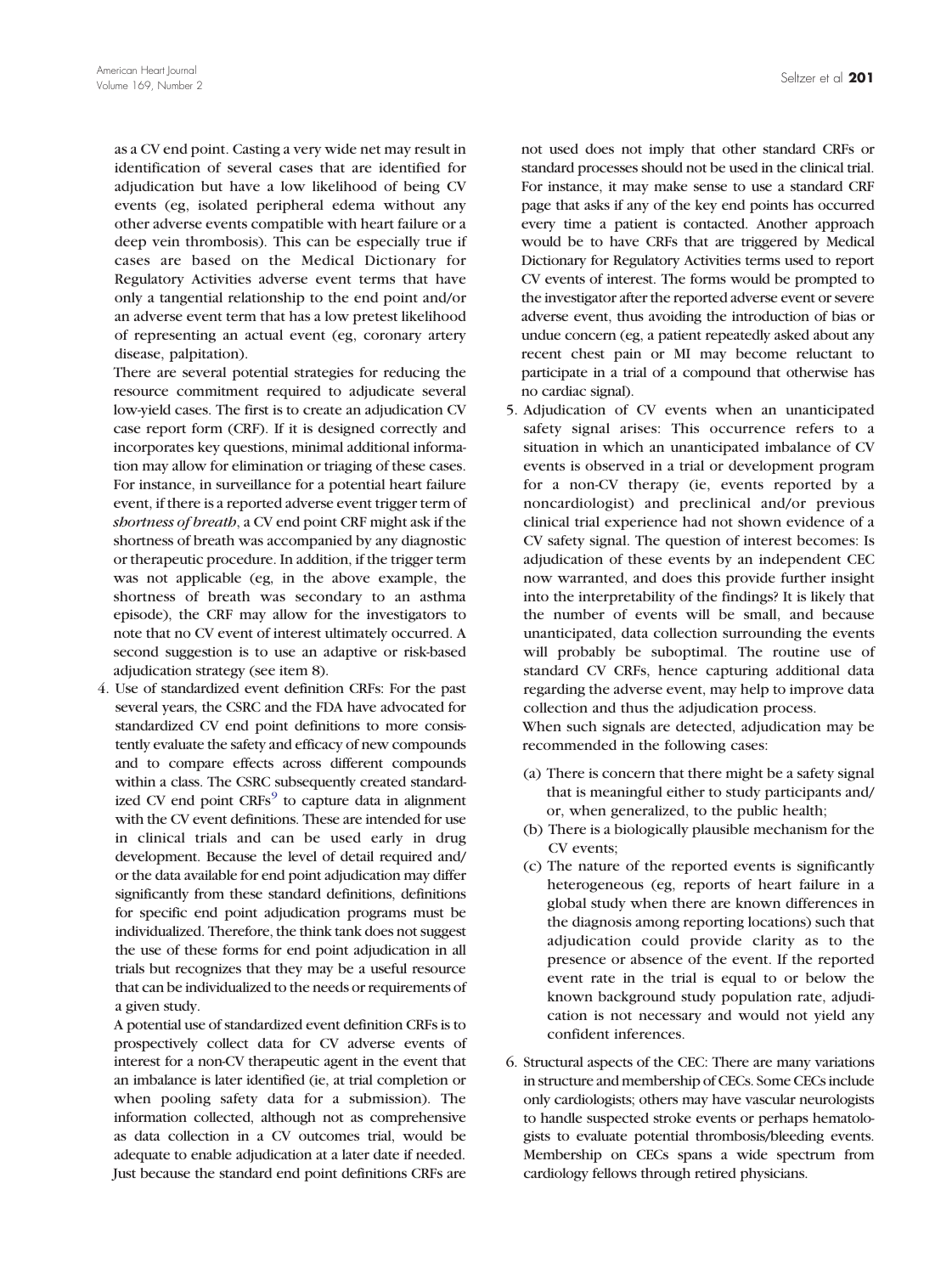as a CV end point. Casting a very wide net may result in identification of several cases that are identified for adjudication but have a low likelihood of being CV events (eg, isolated peripheral edema without any other adverse events compatible with heart failure or a deep vein thrombosis). This can be especially true if cases are based on the Medical Dictionary for Regulatory Activities adverse event terms that have only a tangential relationship to the end point and/or an adverse event term that has a low pretest likelihood of representing an actual event (eg, coronary artery disease, palpitation).

There are several potential strategies for reducing the resource commitment required to adjudicate several low-yield cases. The first is to create an adjudication CV case report form (CRF). If it is designed correctly and incorporates key questions, minimal additional information may allow for elimination or triaging of these cases. For instance, in surveillance for a potential heart failure event, if there is a reported adverse event trigger term of shortness of breath, a CV end point CRF might ask if the shortness of breath was accompanied by any diagnostic or therapeutic procedure. In addition, if the trigger term was not applicable (eg, in the above example, the shortness of breath was secondary to an asthma episode), the CRF may allow for the investigators to note that no CV event of interest ultimately occurred. A second suggestion is to use an adaptive or risk-based adjudication strategy (see item 8).

4. Use of standardized event definition CRFs: For the past several years, the CSRC and the FDA have advocated for standardized CV end point definitions to more consistently evaluate the safety and efficacy of new compounds and to compare effects across different compounds within a class. The CSRC subsequently created standardized CV end point  $CRFs<sup>9</sup>$  $CRFs<sup>9</sup>$  $CRFs<sup>9</sup>$  $CRFs<sup>9</sup>$  $CRFs<sup>9</sup>$  to capture data in alignment with the CV event definitions. These are intended for use in clinical trials and can be used early in drug development. Because the level of detail required and/ or the data available for end point adjudication may differ significantly from these standard definitions, definitions for specific end point adjudication programs must be individualized. Therefore, the think tank does not suggest the use of these forms for end point adjudication in all trials but recognizes that they may be a useful resource that can be individualized to the needs or requirements of a given study.

A potential use of standardized event definition CRFs is to prospectively collect data for CV adverse events of interest for a non-CV therapeutic agent in the event that an imbalance is later identified (ie, at trial completion or when pooling safety data for a submission). The information collected, although not as comprehensive as data collection in a CV outcomes trial, would be adequate to enable adjudication at a later date if needed. Just because the standard end point definitions CRFs are not used does not imply that other standard CRFs or standard processes should not be used in the clinical trial. For instance, it may make sense to use a standard CRF page that asks if any of the key end points has occurred every time a patient is contacted. Another approach would be to have CRFs that are triggered by Medical Dictionary for Regulatory Activities terms used to report CV events of interest. The forms would be prompted to the investigator after the reported adverse event or severe adverse event, thus avoiding the introduction of bias or undue concern (eg, a patient repeatedly asked about any recent chest pain or MI may become reluctant to participate in a trial of a compound that otherwise has no cardiac signal).

5. Adjudication of CV events when an unanticipated safety signal arises: This occurrence refers to a situation in which an unanticipated imbalance of CV events is observed in a trial or development program for a non-CV therapy (ie, events reported by a noncardiologist) and preclinical and/or previous clinical trial experience had not shown evidence of a CV safety signal. The question of interest becomes: Is adjudication of these events by an independent CEC now warranted, and does this provide further insight into the interpretability of the findings? It is likely that the number of events will be small, and because unanticipated, data collection surrounding the events will probably be suboptimal. The routine use of standard CV CRFs, hence capturing additional data regarding the adverse event, may help to improve data collection and thus the adjudication process.

When such signals are detected, adjudication may be recommended in the following cases:

- (a) There is concern that there might be a safety signal that is meaningful either to study participants and/ or, when generalized, to the public health;
- (b) There is a biologically plausible mechanism for the CV events;
- (c) The nature of the reported events is significantly heterogeneous (eg, reports of heart failure in a global study when there are known differences in the diagnosis among reporting locations) such that adjudication could provide clarity as to the presence or absence of the event. If the reported event rate in the trial is equal to or below the known background study population rate, adjudication is not necessary and would not yield any confident inferences.
- 6. Structural aspects of the CEC: There are many variations in structure and membership of CECs. Some CECs include only cardiologists; others may have vascular neurologists to handle suspected stroke events or perhaps hematologists to evaluate potential thrombosis/bleeding events. Membership on CECs spans a wide spectrum from cardiology fellows through retired physicians.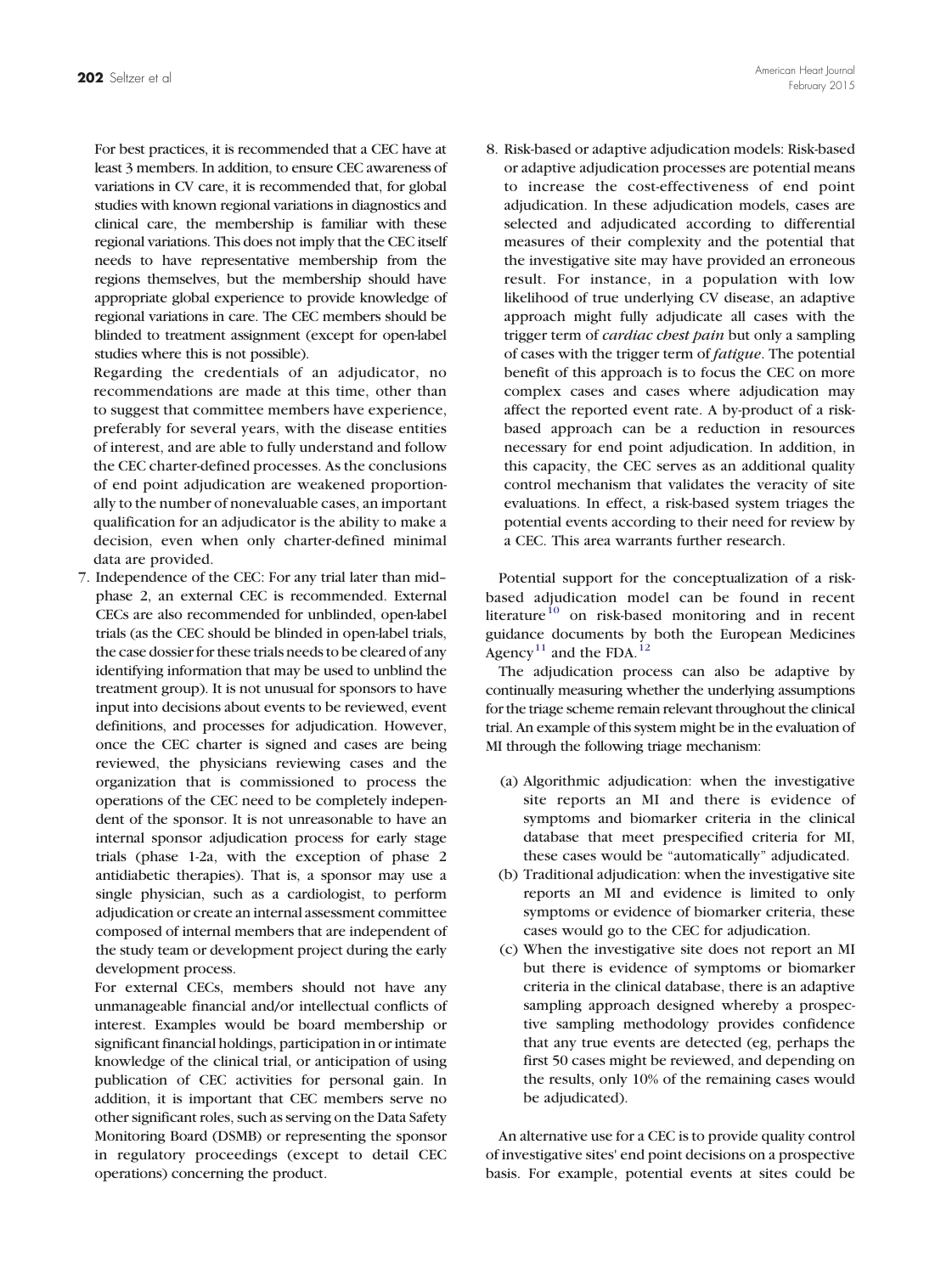For best practices, it is recommended that a CEC have at least 3 members. In addition, to ensure CEC awareness of variations in CV care, it is recommended that, for global studies with known regional variations in diagnostics and clinical care, the membership is familiar with these regional variations. This does not imply that the CEC itself needs to have representative membership from the regions themselves, but the membership should have appropriate global experience to provide knowledge of regional variations in care. The CEC members should be blinded to treatment assignment (except for open-label studies where this is not possible).

Regarding the credentials of an adjudicator, no recommendations are made at this time, other than to suggest that committee members have experience, preferably for several years, with the disease entities of interest, and are able to fully understand and follow the CEC charter-defined processes. As the conclusions of end point adjudication are weakened proportionally to the number of nonevaluable cases, an important qualification for an adjudicator is the ability to make a decision, even when only charter-defined minimal data are provided.

7. Independence of the CEC: For any trial later than mid– phase 2, an external CEC is recommended. External CECs are also recommended for unblinded, open-label trials (as the CEC should be blinded in open-label trials, the case dossier for these trials needs to be cleared of any identifying information that may be used to unblind the treatment group). It is not unusual for sponsors to have input into decisions about events to be reviewed, event definitions, and processes for adjudication. However, once the CEC charter is signed and cases are being reviewed, the physicians reviewing cases and the organization that is commissioned to process the operations of the CEC need to be completely independent of the sponsor. It is not unreasonable to have an internal sponsor adjudication process for early stage trials (phase 1-2a, with the exception of phase 2 antidiabetic therapies). That is, a sponsor may use a single physician, such as a cardiologist, to perform adjudication or create an internal assessment committee composed of internal members that are independent of the study team or development project during the early development process.

For external CECs, members should not have any unmanageable financial and/or intellectual conflicts of interest. Examples would be board membership or significant financial holdings, participation in or intimate knowledge of the clinical trial, or anticipation of using publication of CEC activities for personal gain. In addition, it is important that CEC members serve no other significant roles, such as serving on the Data Safety Monitoring Board (DSMB) or representing the sponsor in regulatory proceedings (except to detail CEC operations) concerning the product.

8. Risk-based or adaptive adjudication models: Risk-based or adaptive adjudication processes are potential means to increase the cost-effectiveness of end point adjudication. In these adjudication models, cases are selected and adjudicated according to differential measures of their complexity and the potential that the investigative site may have provided an erroneous result. For instance, in a population with low likelihood of true underlying CV disease, an adaptive approach might fully adjudicate all cases with the trigger term of *cardiac chest pain* but only a sampling of cases with the trigger term of fatigue. The potential benefit of this approach is to focus the CEC on more complex cases and cases where adjudication may affect the reported event rate. A by-product of a riskbased approach can be a reduction in resources necessary for end point adjudication. In addition, in this capacity, the CEC serves as an additional quality control mechanism that validates the veracity of site evaluations. In effect, a risk-based system triages the potential events according to their need for review by a CEC. This area warrants further research.

Potential support for the conceptualization of a riskbased adjudication model can be found in recent lit[e](#page-7-0)rature<sup>[10](#page-7-0)</sup> on risk-based monitoring and in recent guidance documents by both the European Medicines Agenc[y](#page-7-0)<sup>[11](#page-7-0)</sup> and the FDA[.](#page-7-0)<sup>[12](#page-7-0)</sup>

The adjudication process can also be adaptive by continually measuring whether the underlying assumptions for the triage scheme remain relevant throughout the clinical trial. An example of this system might be in the evaluation of MI through the following triage mechanism:

- (a) Algorithmic adjudication: when the investigative site reports an MI and there is evidence of symptoms and biomarker criteria in the clinical database that meet prespecified criteria for MI, these cases would be "automatically" adjudicated.
- (b) Traditional adjudication: when the investigative site reports an MI and evidence is limited to only symptoms or evidence of biomarker criteria, these cases would go to the CEC for adjudication.
- (c) When the investigative site does not report an MI but there is evidence of symptoms or biomarker criteria in the clinical database, there is an adaptive sampling approach designed whereby a prospective sampling methodology provides confidence that any true events are detected (eg, perhaps the first 50 cases might be reviewed, and depending on the results, only 10% of the remaining cases would be adjudicated).

An alternative use for a CEC is to provide quality control of investigative sites' end point decisions on a prospective basis. For example, potential events at sites could be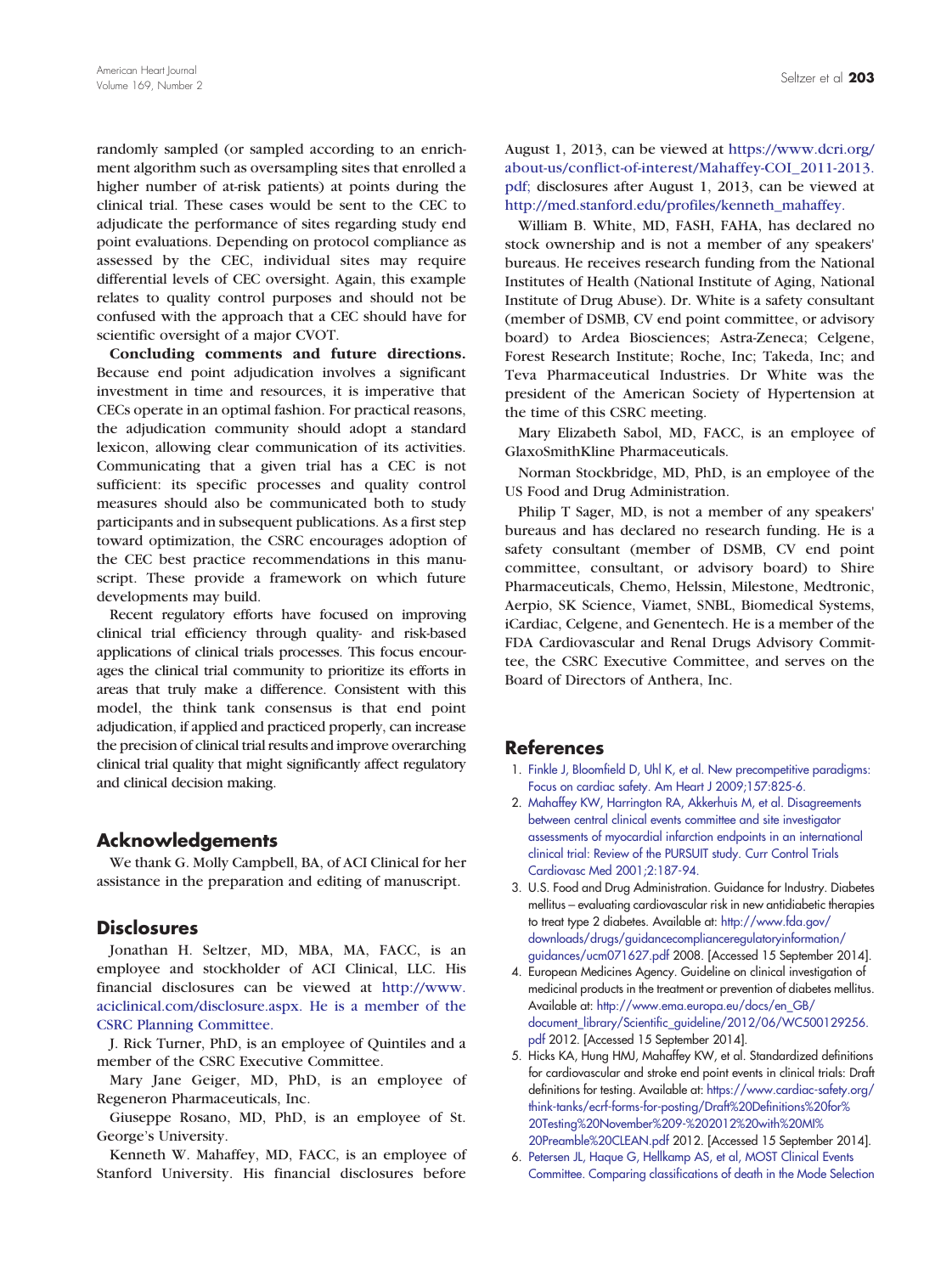<span id="page-6-0"></span>randomly sampled (or sampled according to an enrichment algorithm such as oversampling sites that enrolled a higher number of at-risk patients) at points during the clinical trial. These cases would be sent to the CEC to adjudicate the performance of sites regarding study end point evaluations. Depending on protocol compliance as assessed by the CEC, individual sites may require differential levels of CEC oversight. Again, this example relates to quality control purposes and should not be confused with the approach that a CEC should have for scientific oversight of a major CVOT.

Concluding comments and future directions. Because end point adjudication involves a significant investment in time and resources, it is imperative that CECs operate in an optimal fashion. For practical reasons, the adjudication community should adopt a standard lexicon, allowing clear communication of its activities. Communicating that a given trial has a CEC is not sufficient: its specific processes and quality control measures should also be communicated both to study participants and in subsequent publications. As a first step toward optimization, the CSRC encourages adoption of the CEC best practice recommendations in this manuscript. These provide a framework on which future developments may build.

Recent regulatory efforts have focused on improving clinical trial efficiency through quality- and risk-based applications of clinical trials processes. This focus encourages the clinical trial community to prioritize its efforts in areas that truly make a difference. Consistent with this model, the think tank consensus is that end point adjudication, if applied and practiced properly, can increase the precision of clinical trial results and improve overarching clinical trial quality that might significantly affect regulatory and clinical decision making.

# Acknowledgements

We thank G. Molly Campbell, BA, of ACI Clinical for her assistance in the preparation and editing of manuscript.

# **Disclosures**

Jonathan H. Seltzer, MD, MBA, MA, FACC, is an employee and stockholder of ACI Clinical, LLC. His financial disclosures can be viewed at [http://www.](http://www.aciclinical.com/disclosure.aspx) [aciclinical.com/disclosure.aspx. He is a member of the](http://www.aciclinical.com/disclosure.aspx) [CSRC Planning Committee.](http://www.aciclinical.com/disclosure.aspx)

J. Rick Turner, PhD, is an employee of Quintiles and a member of the CSRC Executive Committee.

Mary Jane Geiger, MD, PhD, is an employee of Regeneron Pharmaceuticals, Inc.

Giuseppe Rosano, MD, PhD, is an employee of St. George's University.

Kenneth W. Mahaffey, MD, FACC, is an employee of Stanford University. His financial disclosures before August 1, 2013, can be viewed at [https://www.dcri.org/](https://www.dcri.org/about-us/conflict-of-interest/Mahaffey-COI_2011-2013.pdf) [about-us/conflict-of-interest/Mahaffey-COI\\_2011-2013.](https://www.dcri.org/about-us/conflict-of-interest/Mahaffey-COI_2011-2013.pdf) pdf; [disclosures after August 1, 2013, can be viewed at](https://www.dcri.org/about-us/conflict-of-interest/Mahaffey-COI_2011-2013.pdf) [http://med.stanford.edu/profiles/kenneth\\_mahaffey.](http://med.stanford.edu/profiles/kenneth_mahaffey)

William B. White, MD, FASH, FAHA, has declared no stock ownership and is not a member of any speakers' bureaus. He receives research funding from the National Institutes of Health (National Institute of Aging, National Institute of Drug Abuse). Dr. White is a safety consultant (member of DSMB, CV end point committee, or advisory board) to Ardea Biosciences; Astra-Zeneca; Celgene, Forest Research Institute; Roche, Inc; Takeda, Inc; and Teva Pharmaceutical Industries. Dr White was the president of the American Society of Hypertension at the time of this CSRC meeting.

Mary Elizabeth Sabol, MD, FACC, is an employee of GlaxoSmithKline Pharmaceuticals.

Norman Stockbridge, MD, PhD, is an employee of the US Food and Drug Administration.

Philip T Sager, MD, is not a member of any speakers' bureaus and has declared no research funding. He is a safety consultant (member of DSMB, CV end point committee, consultant, or advisory board) to Shire Pharmaceuticals, Chemo, Helssin, Milestone, Medtronic, Aerpio, SK Science, Viamet, SNBL, Biomedical Systems, iCardiac, Celgene, and Genentech. He is a member of the FDA Cardiovascular and Renal Drugs Advisory Committee, the CSRC Executive Committee, and serves on the Board of Directors of Anthera, Inc.

# References

- 1. [Finkle J, Bloomfield D, Uhl K, et al. New precompetitive paradigms:](http://refhub.elsevier.com/S0002-8703(14)00662-0/rf0005) [Focus on cardiac safety. Am Heart J 2009;157:825-6.](http://refhub.elsevier.com/S0002-8703(14)00662-0/rf0005)
- 2. [Mahaffey KW, Harrington RA, Akkerhuis M, et al. Disagreements](http://refhub.elsevier.com/S0002-8703(14)00662-0/rf0010) [between central clinical events committee and site investigator](http://refhub.elsevier.com/S0002-8703(14)00662-0/rf0010) [assessments of myocardial infarction endpoints in an international](http://refhub.elsevier.com/S0002-8703(14)00662-0/rf0010) [clinical trial: Review of the PURSUIT study. Curr Control Trials](http://refhub.elsevier.com/S0002-8703(14)00662-0/rf0010) [Cardiovasc Med 2001;2:187-94.](http://refhub.elsevier.com/S0002-8703(14)00662-0/rf0010)
- 3. U.S. Food and Drug Administration. Guidance for Industry. Diabetes mellitus – evaluating cardiovascular risk in new antidiabetic therapies to treat type 2 diabetes. Available at: [http://www.fda.gov/](http://www.fda.gov/downloads/drugs/guidancecomplianceregulatoryinformation/guidances/ucm071627.pdf) [downloads/drugs/guidancecomplianceregulatoryinformation/](http://www.fda.gov/downloads/drugs/guidancecomplianceregulatoryinformation/guidances/ucm071627.pdf) [guidances/ucm071627.pdf](http://www.fda.gov/downloads/drugs/guidancecomplianceregulatoryinformation/guidances/ucm071627.pdf) 2008. [Accessed 15 September 2014].
- 4. European Medicines Agency. Guideline on clinical investigation of medicinal products in the treatment or prevention of diabetes mellitus. Available at: [http://www.ema.europa.eu/docs/en\\_GB/](http://www.ema.europa.eu/docs/en_GB/document_library/Scientific_guideline/2012/06/WC500129256.pdf) [document\\_library/Scientific\\_guideline/2012/06/WC500129256.](http://www.ema.europa.eu/docs/en_GB/document_library/Scientific_guideline/2012/06/WC500129256.pdf) [pdf](http://www.ema.europa.eu/docs/en_GB/document_library/Scientific_guideline/2012/06/WC500129256.pdf) 2012. [Accessed 15 September 2014].
- 5. Hicks KA, Hung HMJ, Mahaffey KW, et al. Standardized definitions for cardiovascular and stroke end point events in clinical trials: Draft definitions for testing. Available at: [https://www.cardiac-safety.org/](https://www.cardiac-safety.org/think-tanks/ecrf-forms-for-posting/Draft%20Definitions%20for%20Testing%20November%209-%202012%20with%20MI%20Preamble%20CLEAN.pdf) [think-tanks/ecrf-forms-for-posting/Draft%20Definitions%20for%](https://www.cardiac-safety.org/think-tanks/ecrf-forms-for-posting/Draft%20Definitions%20for%20Testing%20November%209-%202012%20with%20MI%20Preamble%20CLEAN.pdf) [20Testing%20November%209-%202012%20with%20MI%](https://www.cardiac-safety.org/think-tanks/ecrf-forms-for-posting/Draft%20Definitions%20for%20Testing%20November%209-%202012%20with%20MI%20Preamble%20CLEAN.pdf)
- [20Preamble%20CLEAN.pdf](https://www.cardiac-safety.org/think-tanks/ecrf-forms-for-posting/Draft%20Definitions%20for%20Testing%20November%209-%202012%20with%20MI%20Preamble%20CLEAN.pdf) 2012. [Accessed 15 September 2014]. 6. [Petersen JL, Haque G, Hellkamp AS, et al, MOST Clinical Events](http://refhub.elsevier.com/S0002-8703(14)00662-0/rf0015) [Committee. Comparing classifications of death in the Mode Selection](http://refhub.elsevier.com/S0002-8703(14)00662-0/rf0015)